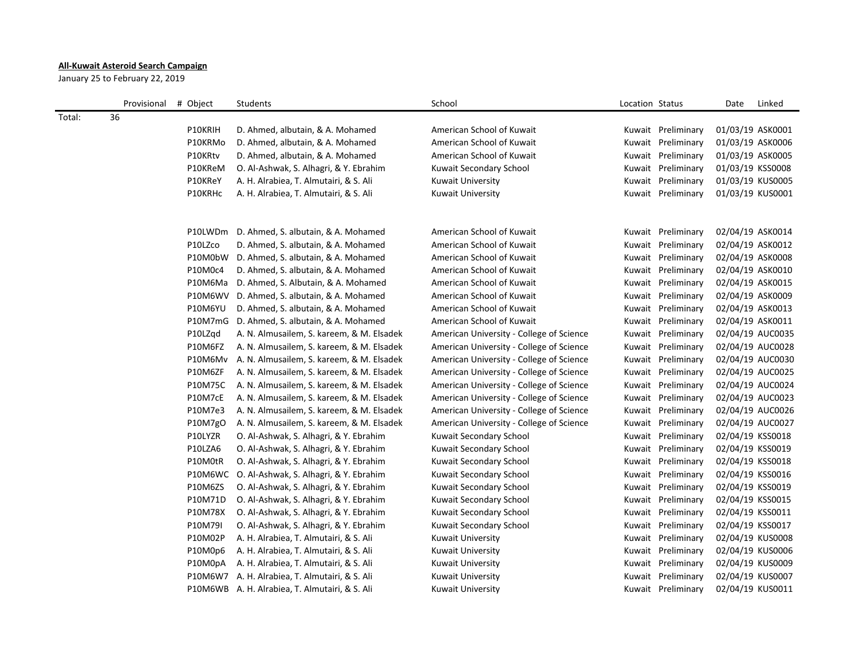## **All-Kuwait Asteroid Search Campaign**

January 25 to February 22, 2019

|        | Provisional | # Object | Students                                       | School                                   | Location Status |                    | Date             | Linked |
|--------|-------------|----------|------------------------------------------------|------------------------------------------|-----------------|--------------------|------------------|--------|
| Total: | 36          |          |                                                |                                          |                 |                    |                  |        |
|        |             | P10KRIH  | D. Ahmed, albutain, & A. Mohamed               | American School of Kuwait                |                 | Kuwait Preliminary | 01/03/19 ASK0001 |        |
|        |             | P10KRMo  | D. Ahmed, albutain, & A. Mohamed               | American School of Kuwait                |                 | Kuwait Preliminary | 01/03/19 ASK0006 |        |
|        |             | P10KRtv  | D. Ahmed, albutain, & A. Mohamed               | American School of Kuwait                |                 | Kuwait Preliminary | 01/03/19 ASK0005 |        |
|        |             | P10KReM  | O. Al-Ashwak, S. Alhagri, & Y. Ebrahim         | Kuwait Secondary School                  |                 | Kuwait Preliminary | 01/03/19 KSS0008 |        |
|        |             | P10KReY  | A. H. Alrabiea, T. Almutairi, & S. Ali         | Kuwait University                        |                 | Kuwait Preliminary | 01/03/19 KUS0005 |        |
|        |             | P10KRHc  | A. H. Alrabiea, T. Almutairi, & S. Ali         | Kuwait University                        |                 | Kuwait Preliminary | 01/03/19 KUS0001 |        |
|        |             |          |                                                |                                          |                 |                    |                  |        |
|        |             | P10LWDm  | D. Ahmed, S. albutain, & A. Mohamed            | American School of Kuwait                |                 | Kuwait Preliminary | 02/04/19 ASK0014 |        |
|        |             | P10LZco  | D. Ahmed, S. albutain, & A. Mohamed            | American School of Kuwait                |                 | Kuwait Preliminary | 02/04/19 ASK0012 |        |
|        |             | P10M0bW  | D. Ahmed, S. albutain, & A. Mohamed            | American School of Kuwait                |                 | Kuwait Preliminary | 02/04/19 ASK0008 |        |
|        |             | P10M0c4  | D. Ahmed, S. albutain, & A. Mohamed            | American School of Kuwait                |                 | Kuwait Preliminary | 02/04/19 ASK0010 |        |
|        |             | P10M6Ma  | D. Ahmed, S. Albutain, & A. Mohamed            | American School of Kuwait                |                 | Kuwait Preliminary | 02/04/19 ASK0015 |        |
|        |             |          | P10M6WV D. Ahmed, S. albutain, & A. Mohamed    | American School of Kuwait                |                 | Kuwait Preliminary | 02/04/19 ASK0009 |        |
|        |             | P10M6YU  | D. Ahmed, S. albutain, & A. Mohamed            | American School of Kuwait                |                 | Kuwait Preliminary | 02/04/19 ASK0013 |        |
|        |             | P10M7mG  | D. Ahmed, S. albutain, & A. Mohamed            | American School of Kuwait                |                 | Kuwait Preliminary | 02/04/19 ASK0011 |        |
|        |             | P10LZqd  | A. N. Almusailem, S. kareem, & M. Elsadek      | American University - College of Science |                 | Kuwait Preliminary | 02/04/19 AUC0035 |        |
|        |             | P10M6FZ  | A. N. Almusailem, S. kareem, & M. Elsadek      | American University - College of Science |                 | Kuwait Preliminary | 02/04/19 AUC0028 |        |
|        |             | P10M6Mv  | A. N. Almusailem, S. kareem, & M. Elsadek      | American University - College of Science |                 | Kuwait Preliminary | 02/04/19 AUC0030 |        |
|        |             | P10M6ZF  | A. N. Almusailem, S. kareem, & M. Elsadek      | American University - College of Science |                 | Kuwait Preliminary | 02/04/19 AUC0025 |        |
|        |             | P10M75C  | A. N. Almusailem, S. kareem, & M. Elsadek      | American University - College of Science |                 | Kuwait Preliminary | 02/04/19 AUC0024 |        |
|        |             | P10M7cE  | A. N. Almusailem, S. kareem, & M. Elsadek      | American University - College of Science |                 | Kuwait Preliminary | 02/04/19 AUC0023 |        |
|        |             | P10M7e3  | A. N. Almusailem, S. kareem, & M. Elsadek      | American University - College of Science |                 | Kuwait Preliminary | 02/04/19 AUC0026 |        |
|        |             | P10M7gO  | A. N. Almusailem, S. kareem, & M. Elsadek      | American University - College of Science |                 | Kuwait Preliminary | 02/04/19 AUC0027 |        |
|        |             | P10LYZR  | O. Al-Ashwak, S. Alhagri, & Y. Ebrahim         | Kuwait Secondary School                  |                 | Kuwait Preliminary | 02/04/19 KSS0018 |        |
|        |             | P10LZA6  | O. Al-Ashwak, S. Alhagri, & Y. Ebrahim         | Kuwait Secondary School                  |                 | Kuwait Preliminary | 02/04/19 KSS0019 |        |
|        |             | P10M0tR  | O. Al-Ashwak, S. Alhagri, & Y. Ebrahim         | Kuwait Secondary School                  |                 | Kuwait Preliminary | 02/04/19 KSS0018 |        |
|        |             |          | P10M6WC O. Al-Ashwak, S. Alhagri, & Y. Ebrahim | Kuwait Secondary School                  |                 | Kuwait Preliminary | 02/04/19 KSS0016 |        |
|        |             | P10M6ZS  | O. Al-Ashwak, S. Alhagri, & Y. Ebrahim         | Kuwait Secondary School                  |                 | Kuwait Preliminary | 02/04/19 KSS0019 |        |
|        |             | P10M71D  | O. Al-Ashwak, S. Alhagri, & Y. Ebrahim         | Kuwait Secondary School                  |                 | Kuwait Preliminary | 02/04/19 KSS0015 |        |
|        |             | P10M78X  | O. Al-Ashwak, S. Alhagri, & Y. Ebrahim         | Kuwait Secondary School                  |                 | Kuwait Preliminary | 02/04/19 KSS0011 |        |
|        |             | P10M79I  | O. Al-Ashwak, S. Alhagri, & Y. Ebrahim         | Kuwait Secondary School                  |                 | Kuwait Preliminary | 02/04/19 KSS0017 |        |
|        |             | P10M02P  | A. H. Alrabiea, T. Almutairi, & S. Ali         | Kuwait University                        |                 | Kuwait Preliminary | 02/04/19 KUS0008 |        |
|        |             | P10M0p6  | A. H. Alrabiea, T. Almutairi, & S. Ali         | <b>Kuwait University</b>                 |                 | Kuwait Preliminary | 02/04/19 KUS0006 |        |
|        |             | P10M0pA  | A. H. Alrabiea, T. Almutairi, & S. Ali         | Kuwait University                        |                 | Kuwait Preliminary | 02/04/19 KUS0009 |        |
|        |             |          | P10M6W7 A. H. Alrabiea, T. Almutairi, & S. Ali | Kuwait University                        |                 | Kuwait Preliminary | 02/04/19 KUS0007 |        |
|        |             |          | P10M6WB A. H. Alrabiea, T. Almutairi, & S. Ali | <b>Kuwait University</b>                 |                 | Kuwait Preliminary | 02/04/19 KUS0011 |        |